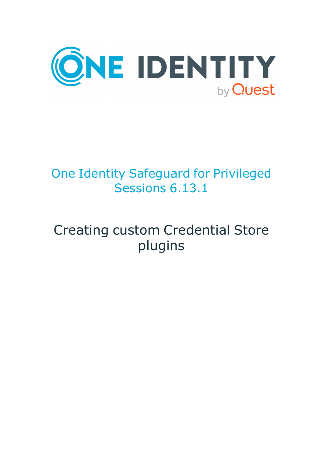

# One Identity Safeguard for Privileged Sessions 6.13.1

# Creating custom Credential Store plugins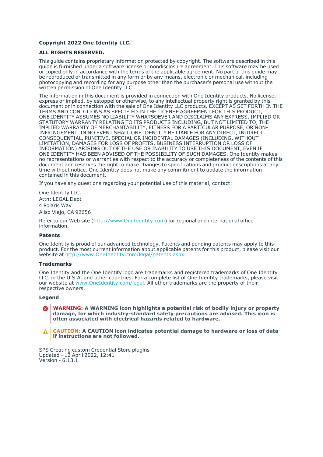#### **Copyright 2022 One Identity LLC.**

#### **ALL RIGHTS RESERVED.**

This guide contains proprietary information protected by copyright. The software described in this guide is furnished under a software license or nondisclosure agreement. This software may be used or copied only in accordance with the terms of the applicable agreement. No part of this guide may be reproduced or transmitted in any form or by any means, electronic or mechanical, including photocopying and recording for any purpose other than the purchaser's personal use without the written permission of One Identity LLC .

The information in this document is provided in connection with One Identity products. No license, express or implied, by estoppel or otherwise, to any intellectual property right is granted by this document or in connection with the sale of One Identity LLC products. EXCEPT AS SET FORTH IN THE TERMS AND CONDITIONS AS SPECIFIED IN THE LICENSE AGREEMENT FOR THIS PRODUCT, ONE IDENTITY ASSUMES NO LIABILITY WHATSOEVER AND DISCLAIMS ANY EXPRESS, IMPLIED OR STATUTORY WARRANTY RELATING TO ITS PRODUCTS INCLUDING, BUT NOT LIMITED TO, THE IMPLIED WARRANTY OF MERCHANTABILITY, FITNESS FOR A PARTICULAR PURPOSE, OR NON-INFRINGEMENT. IN NO EVENT SHALL ONE IDENTITY BE LIABLE FOR ANY DIRECT, INDIRECT, CONSEQUENTIAL, PUNITIVE, SPECIAL OR INCIDENTAL DAMAGES (INCLUDING, WITHOUT LIMITATION, DAMAGES FOR LOSS OF PROFITS, BUSINESS INTERRUPTION OR LOSS OF INFORMATION) ARISING OUT OF THE USE OR INABILITY TO USE THIS DOCUMENT, EVEN IF ONE IDENTITY HAS BEEN ADVISED OF THE POSSIBILITY OF SUCH DAMAGES. One Identity makes no representations or warranties with respect to the accuracy or completeness of the contents of this document and reserves the right to make changes to specifications and product descriptions at any time without notice. One Identity does not make any commitment to update the information contained in this document.

If you have any questions regarding your potential use of this material, contact:

One Identity LLC. Attn: LEGAL Dept 4 Polaris Way Aliso Viejo, CA 92656

Refer to our Web site [\(http://www.OneIdentity.com](http://www.oneidentity.com/)) for regional and international office information.

#### **Patents**

One Identity is proud of our advanced technology. Patents and pending patents may apply to this product. For the most current information about applicable patents for this product, please visit our website at [http://www.OneIdentity.com/legal/patents.aspx.](http://www.oneidentity.com/legal/patents.aspx)

#### **Trademarks**

One Identity and the One Identity logo are trademarks and registered trademarks of One Identity LLC. in the U.S.A. and other countries. For a complete list of One Identity trademarks, please visit our website at [www.OneIdentity.com/legal](http://www.oneidentity.com/legal). All other trademarks are the property of their respective owners.

#### **Legend**

**WARNING: A WARNING icon highlights a potential risk of bodily injury or property** œ **damage, for which industry-standard safety precautions are advised. This icon is often associated with electrical hazards related to hardware.**

**CAUTION: A CAUTION icon indicates potential damage to hardware or loss of data if instructions are not followed.**

SPS Creating custom Credential Store plugins Updated - 12 April 2022, 12:41 Version - 6.13.1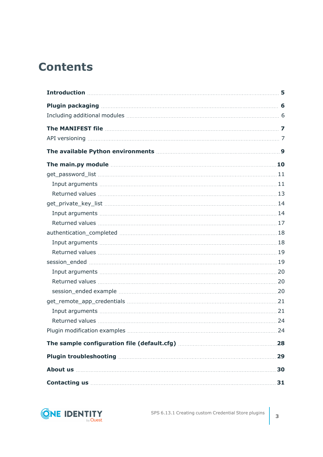## **Contents**

| The main.py module measure and the main of the main of the main of the main of the main of the main of the main of the main of the main of the main of the main of the main of the main of the main of the main of the main of                                                         |     |
|----------------------------------------------------------------------------------------------------------------------------------------------------------------------------------------------------------------------------------------------------------------------------------------|-----|
|                                                                                                                                                                                                                                                                                        |     |
|                                                                                                                                                                                                                                                                                        |     |
|                                                                                                                                                                                                                                                                                        |     |
|                                                                                                                                                                                                                                                                                        |     |
|                                                                                                                                                                                                                                                                                        |     |
|                                                                                                                                                                                                                                                                                        |     |
|                                                                                                                                                                                                                                                                                        |     |
|                                                                                                                                                                                                                                                                                        |     |
|                                                                                                                                                                                                                                                                                        |     |
|                                                                                                                                                                                                                                                                                        |     |
|                                                                                                                                                                                                                                                                                        |     |
|                                                                                                                                                                                                                                                                                        |     |
|                                                                                                                                                                                                                                                                                        |     |
|                                                                                                                                                                                                                                                                                        |     |
|                                                                                                                                                                                                                                                                                        |     |
|                                                                                                                                                                                                                                                                                        |     |
|                                                                                                                                                                                                                                                                                        |     |
|                                                                                                                                                                                                                                                                                        |     |
|                                                                                                                                                                                                                                                                                        |     |
| About us <b>here is a substantial contract to the set of the set of the set of the set of the set of the set of the set of the set of the set of the set of the set of the set of the set of the set of the set of the set of th</b>                                                   | 30  |
| Contacting us <b>contacting</b> us <b>contacting</b> us <b>contacting</b> us <b>contacting</b> us <b>contacting</b> us <b>contacting</b> us <b>contacting</b> us <b>contacting</b> us <b>contacting</b> us <b>contacting</b> us <b>contact us an area of the state of the state of</b> | .31 |

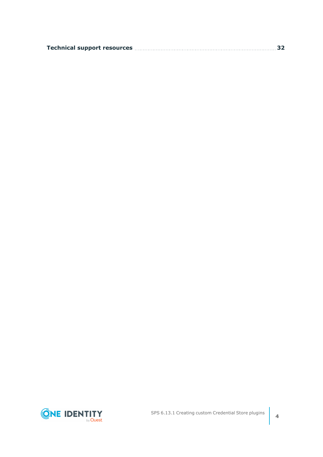|  | Technical support resources <b>members and the control of the set of the set of the set of the set of the set of t</b> |  |
|--|------------------------------------------------------------------------------------------------------------------------|--|
|--|------------------------------------------------------------------------------------------------------------------------|--|

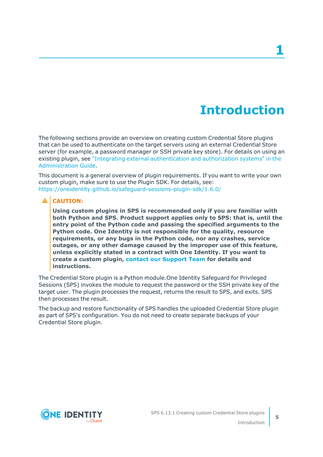## **Introduction**

<span id="page-4-0"></span>The following sections provide an overview on creating custom Credential Store plugins that can be used to authenticate on the target servers using an external Credential Store server (for example, a password manager or SSH private key store). For details on using an existing plugin, see "Integrating external [authentication](https://support.oneidentity.com/technical-documents/safeguard-for-privileged-sessions/6.13.1/administration-guide/advanced-authentication-and-authorization-techniques/integrating-external-authentication-and-authorization-systems/) and authorization systems" in the [Administration](https://support.oneidentity.com/technical-documents/safeguard-for-privileged-sessions/6.13.1/administration-guide/advanced-authentication-and-authorization-techniques/integrating-external-authentication-and-authorization-systems/) Guide.

This document is a general overview of plugin requirements. If you want to write your own custom plugin, make sure to use the Plugin SDK. For details, see: <https://oneidentity.github.io/safeguard-sessions-plugin-sdk/1.6.0/>

### **A** CAUTION:

**Using custom plugins in SPS is recommended only if you are familiar with both Python and SPS. Product support applies only to SPS: that is, until the entry point of the Python code and passing the specified arguments to the Python code. One Identity is not responsible for the quality, resource requirements, or any bugs in the Python code, nor any crashes, service outages, or any other damage caused by the improper use of this feature, unless explicitly stated in a contract with One Identity. If you want to create a custom plugin, contact our [Support](https://support.oneidentity.com/one-identity-safeguard-for-privileged-sessions) Team for details and instructions.**

The Credential Store plugin is a Python module.One Identity Safeguard for Privileged Sessions (SPS) invokes the module to request the password or the SSH private key of the target user. The plugin processes the request, returns the result to SPS, and exits. SPS then processes the result.

The backup and restore functionality of SPS handles the uploaded Credential Store plugin as part of SPS's configuration. You do not need to create separate backups of your Credential Store plugin.



**5**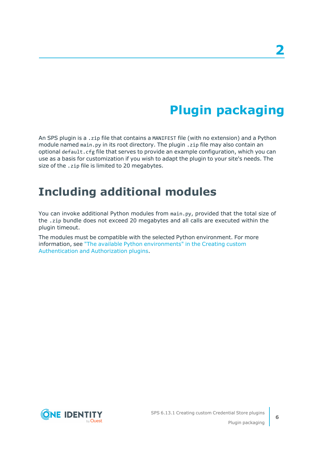# **Plugin packaging**

<span id="page-5-0"></span>An SPS plugin is a .zip file that contains a MANIFEST file (with no extension) and a Python module named main.py in its root directory. The plugin .zip file may also contain an optional default.cfg file that serves to provide an example configuration, which you can use as a basis for customization if you wish to adapt the plugin to your site's needs. The size of the .zip file is limited to 20 megabytes.

## <span id="page-5-1"></span>**Including additional modules**

You can invoke additional Python modules from main.py, provided that the total size of the .zip bundle does not exceed 20 megabytes and all calls are executed within the plugin timeout.

The modules must be compatible with the selected Python environment. For more information, see "The available Python [environments"](https://support.oneidentity.com/technical-documents/safeguard-for-privileged-sessions/6.13.1/creating-custom-authentication-and-authorization-plugins/) in the Creating custom [Authentication](https://support.oneidentity.com/technical-documents/safeguard-for-privileged-sessions/6.13.1/creating-custom-authentication-and-authorization-plugins/) and Authorization plugins.

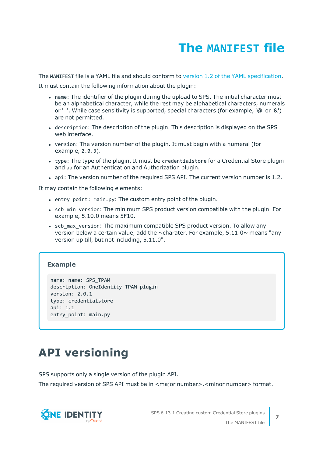# **The MANIFEST file**

<span id="page-6-0"></span>The MANIFEST file is a YAML file and should conform to version 1.2 of the YAML [specification.](http://yaml.org/spec/)

It must contain the following information about the plugin:

- name: The identifier of the plugin during the upload to SPS. The initial character must be an alphabetical character, while the rest may be alphabetical characters, numerals or '. While case sensitivity is supported, special characters (for example, '@' or '&') are not permitted.
- description: The description of the plugin. This description is displayed on the SPS web interface.
- version: The version number of the plugin. It must begin with a numeral (for example, 2.0.3).
- type: The type of the plugin. It must be credentialstore for a Credential Store plugin and aa for an Authentication and Authorization plugin.
- api: The version number of the required SPS API. The current version number is 1.2.

It may contain the following elements:

- entry point: main.py: The custom entry point of the plugin.
- scb min version: The minimum SPS product version compatible with the plugin. For example, 5.10.0 means 5F10.
- scb max version: The maximum compatible SPS product version. To allow any version below a certain value, add the  $\sim$ charater. For example, 5.11.0 $\sim$  means "any version up till, but not including, 5.11.0".

#### **Example**

```
name: name: SPS_TPAM
description: OneIdentity TPAM plugin
version: 2.0.1
type: credentialstore
api: 1.1
entry_point: main.py
```
## <span id="page-6-1"></span>**API versioning**

SPS supports only a single version of the plugin API.

The required version of SPS API must be in <major number>.<minor number> format.

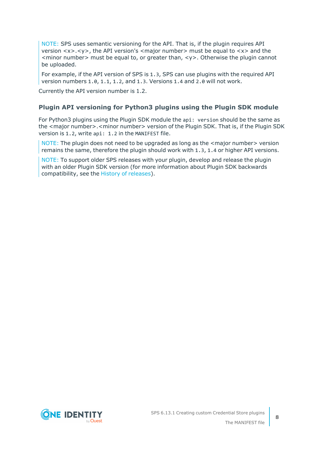NOTE: SPS uses semantic versioning for the API. That is, if the plugin requires API version <x>.<y>, the API version's <major number> must be equal to <x> and the  $\leq$  minor number  $\geq$  must be equal to, or greater than,  $\lt$ y  $\geq$ . Otherwise the plugin cannot be uploaded.

For example, if the API version of SPS is 1.3, SPS can use plugins with the required API version numbers 1.0, 1.1, 1.2, and 1.3. Versions 1.4 and 2.0 will not work.

Currently the API version number is 1.2.

### **Plugin API versioning for Python3 plugins using the Plugin SDK module**

For Python3 plugins using the Plugin SDK module the api: version should be the same as the <major number>.<minor number> version of the Plugin SDK. That is, if the Plugin SDK version is 1.2, write api: 1.2 in the MANIFEST file.

NOTE: The plugin does not need to be upgraded as long as the <major number> version remains the same, therefore the plugin should work with 1.3, 1.4 or higher API versions.

NOTE: To support older SPS releases with your plugin, develop and release the plugin with an older Plugin SDK version (for more information about Plugin SDK backwards compatibility, see the History of [releases](https://oneidentity.github.io/safeguard-sessions-plugin-sdk/latest/history.html)).

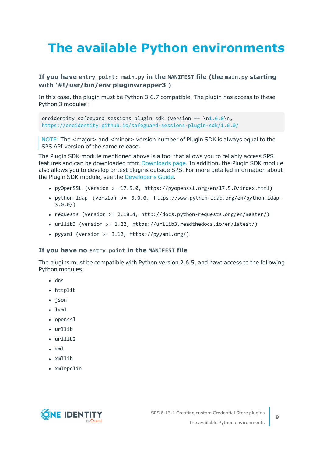# <span id="page-8-0"></span>**The available Python environments**

### **If you have entry\_point: main.py in the MANIFEST file (the main.py starting with '#!/usr/bin/env pluginwrapper3')**

In this case, the plugin must be Python 3.6.7 compatible. The plugin has access to these Python 3 modules:

oneidentity safeguard sessions plugin sdk (version == \[n1.6.0\](https://oneidentity.github.io/safeguard-sessions-plugin-sdk/1.6.0/index.html)n, <https://oneidentity.github.io/safeguard-sessions-plugin-sdk/1.6.0/>

NOTE: The <major> and <minor> version number of Plugin SDK is always equal to the SPS API version of the same release.

The Plugin SDK module mentioned above is a tool that allows you to reliably access SPS features and can be downloaded from [Downloads](https://support.oneidentity.com/my-downloads) page. In addition, the Plugin SDK module also allows you to develop or test plugins outside SPS. For more detailed information about the Plugin SDK module, see the [Developer's](https://oneidentity.github.io/safeguard-sessions-plugin-sdk/1.2.0/index.html) Guide.

- pyOpenSSL (version >=  $17.5.0$ , https://pyopenssl.org/en/17.5.0/index.html)
- python-ldap (version >=  $3.0.0$ , https://www.python-ldap.org/en/python-ldap-3.0.0/)
- requests (version  $>= 2.18.4$ , http://docs.python-requests.org/en/master/)
- <sup>l</sup> urllib3 (version >= 1.22, https://urllib3.readthedocs.io/en/latest/)
- pyyaml (version >=  $3.12$ , https://pyyaml.org/)

#### **If you have no entry\_point in the MANIFEST file**

The plugins must be compatible with Python version 2.6.5, and have access to the following Python modules:

- $\cdot$  dns
- httplib
- json
- $\cdot$  lxml
- openssl
- urllib
- $\cdot$  urllib2
- $\cdot$  xml
- xmllib
- xmlrpclib

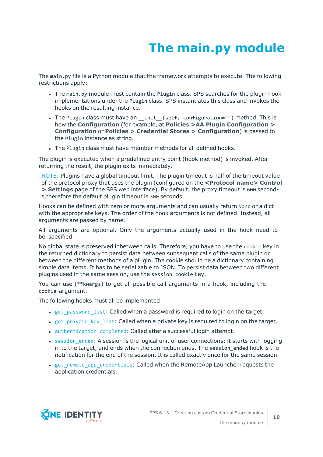# **The main.py module**

<span id="page-9-0"></span>The main.py file is a Python module that the framework attempts to execute. The following restrictions apply:

- The main.py module must contain the Plugin class. SPS searches for the plugin hook implementations under the Plugin class. SPS instantiates this class and invokes the hooks on the resulting instance.
- The Plugin class must have an \_init\_(self, configuration="") method. This is how the **Configuration** (for example, at **Policies >AA Plugin Configuration > Configuration** or **Policies > Credential Stores > Configuration**) is passed to the Plugin instance as string.
- The Plugin class must have member methods for all defined hooks.

The plugin is executed when a predefined entry point (hook method) is invoked. After returning the result, the plugin exits immediately.

NOTE: Plugins have a global timeout limit. The plugin timeout is half of the timeout value of the protocol proxy that uses the plugin (configured on the **<Protocol name> Control > Settings** page of the SPS web interface). By default, the proxy timeout is 600 seconds,therefore the default plugin timeout is 300 seconds.

Hooks can be defined with zero or more arguments and can usually return None or a dict with the appropriate keys. The order of the hook arguments is not defined. Instead, all arguments are passed by name.

All arguments are optional. Only the arguments actually used in the hook need to be specified.

No global state is preserved inbetween calls. Therefore, you have to use the cookie key in the returned dictionary to persist data between subsequent calls of the same plugin or between the different methods of a plugin. The cookie should be a dictionary containing simple data items. It has to be serializable to JSON. To persist data between two different plugins used in the same session, use the session\_cookie key.

You can use (\*\*kwargs) to get all possible call arguments in a hook, including the cookie argument.

The following hooks must all be implemented:

- get password list: Called when a password is required to login on the target.
- [get\\_private\\_key\\_list](#page-13-0): Called when a private key is required to login on the target.
- authentication completed: Called after a successful login attempt.
- session ended: A session is the logical unit of user connections: it starts with logging in to the target, and ends when the connection ends. The session ended hook is the notification for the end of the session. It is called exactly once for the same session.
- get remote app credentials: Called when the RemoteApp Launcher requests the application credentials.

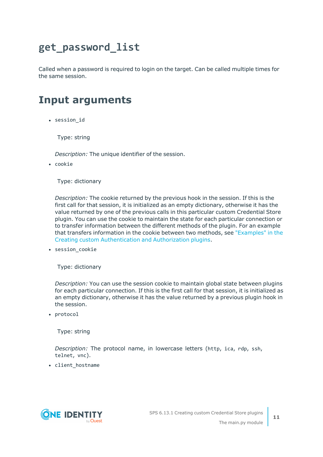## <span id="page-10-0"></span>**get\_password\_list**

Called when a password is required to login on the target. Can be called multiple times for the same session.

## <span id="page-10-1"></span>**Input arguments**

• session id

Type: string

*Description:* The unique identifier of the session.

• cookie

Type: dictionary

*Description:* The cookie returned by the previous hook in the session. If this is the first call for that session, it is initialized as an empty dictionary, otherwise it has the value returned by one of the previous calls in this particular custom Credential Store plugin. You can use the cookie to maintain the state for each particular connection or to transfer information between the different methods of the plugin. For an example that transfers information in the cookie between two methods, see ["Examples"](https://support.oneidentity.com/technical-documents/safeguard-for-privileged-sessions/6.13.1/creating-custom-authentication-and-authorization-plugins/the-main.py-module/examples/) in the Creating custom [Authentication](https://support.oneidentity.com/technical-documents/safeguard-for-privileged-sessions/6.13.1/creating-custom-authentication-and-authorization-plugins/the-main.py-module/examples/) and Authorization plugins.

• session\_cookie

Type: dictionary

*Description:* You can use the session cookie to maintain global state between plugins for each particular connection. If this is the first call for that session, it is initialized as an empty dictionary, otherwise it has the value returned by a previous plugin hook in the session.

• protocol

Type: string

*Description:* The protocol name, in lowercase letters (http, ica, rdp, ssh, telnet, vnc).

• client\_hostname

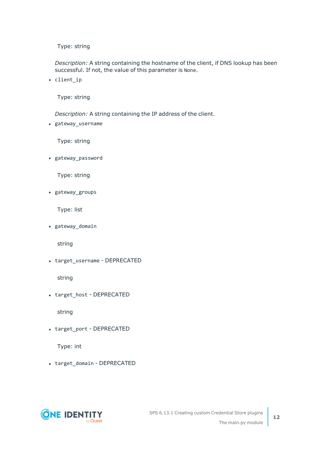Type: string

*Description:* A string containing the hostname of the client, if DNS lookup has been successful. If not, the value of this parameter is None.

• client\_ip

Type: string

*Description:* A string containing the IP address of the client.

• gateway\_username

Type: string

• gateway password

Type: string

• gateway\_groups

Type: list

• gateway\_domain

string

• target\_username - DEPRECATED

string

• target\_host - DEPRECATED

string

• target\_port - DEPRECATED

Type: int

• target\_domain - DEPRECATED

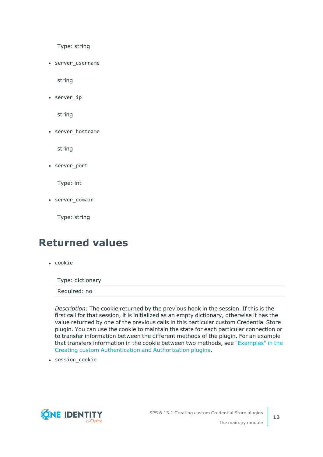Type: string

• server username

string

 $\cdot$  server\_ip

string

• server\_hostname

string

• server port

Type: int

• server domain

Type: string

### <span id="page-12-0"></span>**Returned values**

• cookie

Type: dictionary

Required: no

*Description:* The cookie returned by the previous hook in the session. If this is the first call for that session, it is initialized as an empty dictionary, otherwise it has the value returned by one of the previous calls in this particular custom Credential Store plugin. You can use the cookie to maintain the state for each particular connection or to transfer information between the different methods of the plugin. For an example that transfers information in the cookie between two methods, see ["Examples"](https://support.oneidentity.com/technical-documents/safeguard-for-privileged-sessions/6.13.1/creating-custom-authentication-and-authorization-plugins/the-main.py-module/examples/) in the Creating custom [Authentication](https://support.oneidentity.com/technical-documents/safeguard-for-privileged-sessions/6.13.1/creating-custom-authentication-and-authorization-plugins/the-main.py-module/examples/) and Authorization plugins.

• session\_cookie

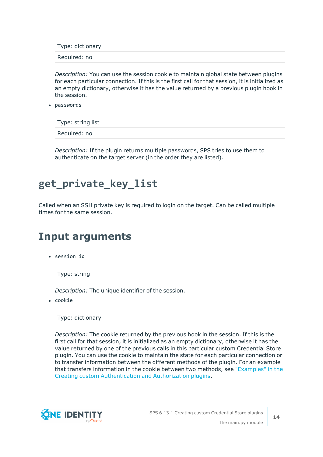Type: dictionary

Required: no

*Description:* You can use the session cookie to maintain global state between plugins for each particular connection. If this is the first call for that session, it is initialized as an empty dictionary, otherwise it has the value returned by a previous plugin hook in the session.

• passwords

Type: string list

Required: no

*Description:* If the plugin returns multiple passwords, SPS tries to use them to authenticate on the target server (in the order they are listed).

## <span id="page-13-0"></span>**get\_private\_key\_list**

Called when an SSH private key is required to login on the target. Can be called multiple times for the same session.

### <span id="page-13-1"></span>**Input arguments**

• session\_id

Type: string

*Description:* The unique identifier of the session.

• cookie

Type: dictionary

*Description:* The cookie returned by the previous hook in the session. If this is the first call for that session, it is initialized as an empty dictionary, otherwise it has the value returned by one of the previous calls in this particular custom Credential Store plugin. You can use the cookie to maintain the state for each particular connection or to transfer information between the different methods of the plugin. For an example that transfers information in the cookie between two methods, see ["Examples"](https://support.oneidentity.com/technical-documents/safeguard-for-privileged-sessions/6.13.1/creating-custom-authentication-and-authorization-plugins/the-main.py-module/examples/) in the Creating custom [Authentication](https://support.oneidentity.com/technical-documents/safeguard-for-privileged-sessions/6.13.1/creating-custom-authentication-and-authorization-plugins/the-main.py-module/examples/) and Authorization plugins.

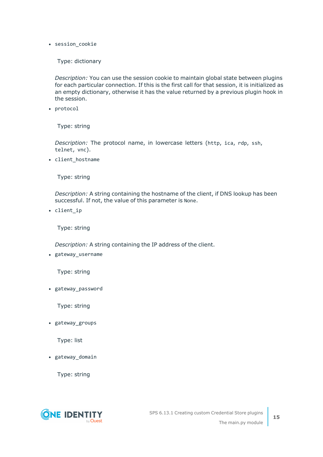• session cookie

Type: dictionary

*Description:* You can use the session cookie to maintain global state between plugins for each particular connection. If this is the first call for that session, it is initialized as an empty dictionary, otherwise it has the value returned by a previous plugin hook in the session.

• protocol

Type: string

*Description:* The protocol name, in lowercase letters (http, ica, rdp, ssh, telnet, vnc).

• client hostname

Type: string

*Description:* A string containing the hostname of the client, if DNS lookup has been successful. If not, the value of this parameter is None.

• client ip

Type: string

*Description:* A string containing the IP address of the client.

• gateway\_username

Type: string

• gateway\_password

Type: string

• gateway\_groups

Type: list

• gateway\_domain

Type: string

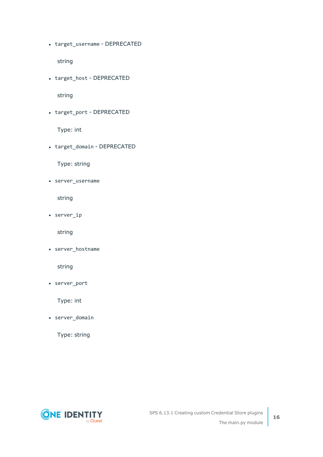• target\_username - DEPRECATED

string

• target\_host - DEPRECATED

string

• target\_port - DEPRECATED

Type: int

• target\_domain - DEPRECATED

Type: string

• server\_username

string

 $\cdot$  server\_ip

string

• server\_hostname

string

• server\_port

Type: int

• server\_domain

Type: string

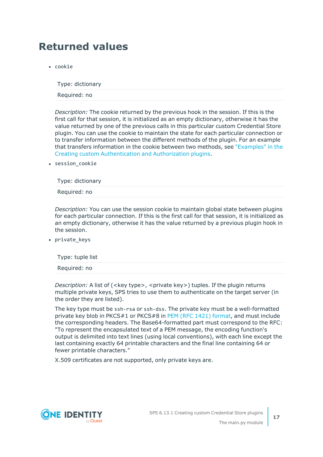## <span id="page-16-0"></span>**Returned values**

• cookie

Type: dictionary

Required: no

*Description:* The cookie returned by the previous hook in the session. If this is the first call for that session, it is initialized as an empty dictionary, otherwise it has the value returned by one of the previous calls in this particular custom Credential Store plugin. You can use the cookie to maintain the state for each particular connection or to transfer information between the different methods of the plugin. For an example that transfers information in the cookie between two methods, see ["Examples"](https://support.oneidentity.com/technical-documents/safeguard-for-privileged-sessions/6.13.1/creating-custom-authentication-and-authorization-plugins/the-main.py-module/examples/) in the Creating custom [Authentication](https://support.oneidentity.com/technical-documents/safeguard-for-privileged-sessions/6.13.1/creating-custom-authentication-and-authorization-plugins/the-main.py-module/examples/) and Authorization plugins.

• session cookie

Type: dictionary

Required: no

*Description:* You can use the session cookie to maintain global state between plugins for each particular connection. If this is the first call for that session, it is initialized as an empty dictionary, otherwise it has the value returned by a previous plugin hook in the session.

• private\_keys

| Type: tuple list |  |  |  |
|------------------|--|--|--|
| Required: no     |  |  |  |

*Description:* A list of (<key type>, <private key>) tuples. If the plugin returns multiple private keys, SPS tries to use them to authenticate on the target server (in the order they are listed).

The key type must be ssh-rsa or ssh-dss. The private key must be a well-formatted private key blob in PKCS#1 or PKCS#8 in PEM (RFC 1421) [format](https://tools.ietf.org/html/rfc1421), and must include the corresponding headers. The Base64-formatted part must correspond to the RFC: "To represent the encapsulated text of a PEM message, the encoding function's output is delimited into text lines (using local conventions), with each line except the last containing exactly 64 printable characters and the final line containing 64 or fewer printable characters."

X.509 certificates are not supported, only private keys are.

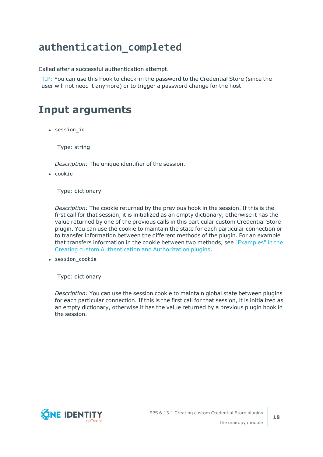## <span id="page-17-0"></span>**authentication\_completed**

Called after a successful authentication attempt.

TIP: You can use this hook to check-in the password to the Credential Store (since the user will not need it anymore) or to trigger a password change for the host.

### <span id="page-17-1"></span>**Input arguments**

• session id

Type: string

*Description:* The unique identifier of the session.

• cookie

Type: dictionary

*Description:* The cookie returned by the previous hook in the session. If this is the first call for that session, it is initialized as an empty dictionary, otherwise it has the value returned by one of the previous calls in this particular custom Credential Store plugin. You can use the cookie to maintain the state for each particular connection or to transfer information between the different methods of the plugin. For an example that transfers information in the cookie between two methods, see ["Examples"](https://support.oneidentity.com/technical-documents/safeguard-for-privileged-sessions/6.13.1/creating-custom-authentication-and-authorization-plugins/the-main.py-module/examples/) in the Creating custom [Authentication](https://support.oneidentity.com/technical-documents/safeguard-for-privileged-sessions/6.13.1/creating-custom-authentication-and-authorization-plugins/the-main.py-module/examples/) and Authorization plugins.

• session\_cookie

Type: dictionary

*Description:* You can use the session cookie to maintain global state between plugins for each particular connection. If this is the first call for that session, it is initialized as an empty dictionary, otherwise it has the value returned by a previous plugin hook in the session.

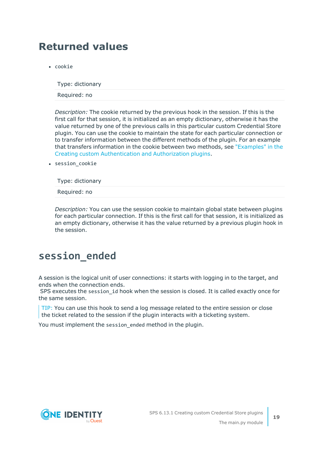## <span id="page-18-0"></span>**Returned values**

• cookie

Type: dictionary

Required: no

*Description:* The cookie returned by the previous hook in the session. If this is the first call for that session, it is initialized as an empty dictionary, otherwise it has the value returned by one of the previous calls in this particular custom Credential Store plugin. You can use the cookie to maintain the state for each particular connection or to transfer information between the different methods of the plugin. For an example that transfers information in the cookie between two methods, see ["Examples"](https://support.oneidentity.com/technical-documents/safeguard-for-privileged-sessions/6.13.1/creating-custom-authentication-and-authorization-plugins/the-main.py-module/examples/) in the Creating custom [Authentication](https://support.oneidentity.com/technical-documents/safeguard-for-privileged-sessions/6.13.1/creating-custom-authentication-and-authorization-plugins/the-main.py-module/examples/) and Authorization plugins.

• session cookie

Type: dictionary

Required: no

*Description:* You can use the session cookie to maintain global state between plugins for each particular connection. If this is the first call for that session, it is initialized as an empty dictionary, otherwise it has the value returned by a previous plugin hook in the session.

### <span id="page-18-1"></span>**session\_ended**

A session is the logical unit of user connections: it starts with logging in to the target, and ends when the connection ends.

SPS executes the session id hook when the session is closed. It is called exactly once for the same session.

TIP: You can use this hook to send a log message related to the entire session or close the ticket related to the session if the plugin interacts with a ticketing system.

You must implement the session\_ended method in the plugin.

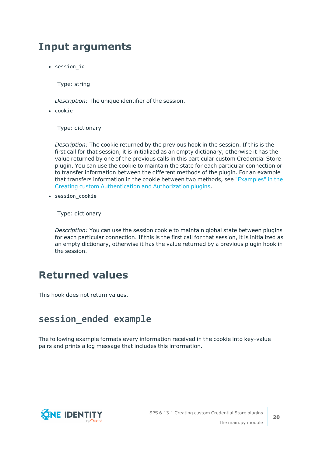### <span id="page-19-0"></span>**Input arguments**

• session id

Type: string

*Description:* The unique identifier of the session.

 $\cdot$  cookie

Type: dictionary

*Description:* The cookie returned by the previous hook in the session. If this is the first call for that session, it is initialized as an empty dictionary, otherwise it has the value returned by one of the previous calls in this particular custom Credential Store plugin. You can use the cookie to maintain the state for each particular connection or to transfer information between the different methods of the plugin. For an example that transfers information in the cookie between two methods, see ["Examples"](https://support.oneidentity.com/technical-documents/safeguard-for-privileged-sessions/6.13.1/creating-custom-authentication-and-authorization-plugins/the-main.py-module/examples/) in the Creating custom [Authentication](https://support.oneidentity.com/technical-documents/safeguard-for-privileged-sessions/6.13.1/creating-custom-authentication-and-authorization-plugins/the-main.py-module/examples/) and Authorization plugins.

• session cookie

Type: dictionary

*Description:* You can use the session cookie to maintain global state between plugins for each particular connection. If this is the first call for that session, it is initialized as an empty dictionary, otherwise it has the value returned by a previous plugin hook in the session.

### <span id="page-19-1"></span>**Returned values**

<span id="page-19-2"></span>This hook does not return values.

### **session\_ended example**

The following example formats every information received in the cookie into key-value pairs and prints a log message that includes this information.

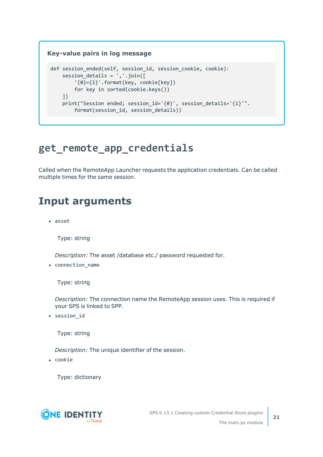### **Key-value pairs in log message** def session ended(self, session id, session cookie, cookie): session details =  $','.join([$ '{0}={1}'.format(key, cookie[key]) for key in sorted(cookie.keys()) ]) print("Session ended; session\_id='{0}', session\_details='{1}'". format(session id, session details))

## <span id="page-20-0"></span>**get\_remote\_app\_credentials**

Called when the RemoteApp Launcher requests the application credentials. Can be called multiple times for the same session.

## <span id="page-20-1"></span>**Input arguments**

• asset

Type: string

*Description:* The asset /database etc./ password requested for.

• connection name

Type: string

*Description:* The connection name the RemoteApp session uses. This is required if your SPS is linked to SPP.

• session\_id

Type: string

*Description:* The unique identifier of the session.

• cookie

Type: dictionary

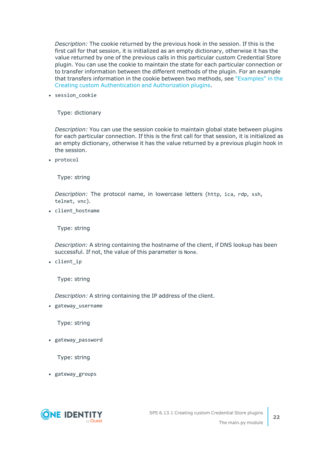*Description:* The cookie returned by the previous hook in the session. If this is the first call for that session, it is initialized as an empty dictionary, otherwise it has the value returned by one of the previous calls in this particular custom Credential Store plugin. You can use the cookie to maintain the state for each particular connection or to transfer information between the different methods of the plugin. For an example that transfers information in the cookie between two methods, see ["Examples"](https://support.oneidentity.com/technical-documents/safeguard-for-privileged-sessions/6.13.1/creating-custom-authentication-and-authorization-plugins/the-main.py-module/examples/) in the Creating custom [Authentication](https://support.oneidentity.com/technical-documents/safeguard-for-privileged-sessions/6.13.1/creating-custom-authentication-and-authorization-plugins/the-main.py-module/examples/) and Authorization plugins.

• session cookie

Type: dictionary

*Description:* You can use the session cookie to maintain global state between plugins for each particular connection. If this is the first call for that session, it is initialized as an empty dictionary, otherwise it has the value returned by a previous plugin hook in the session.

• protocol

Type: string

*Description:* The protocol name, in lowercase letters (http, ica, rdp, ssh, telnet, vnc).

• client\_hostname

Type: string

*Description:* A string containing the hostname of the client, if DNS lookup has been successful. If not, the value of this parameter is None.

• client\_ip

Type: string

*Description:* A string containing the IP address of the client.

• gateway\_username

Type: string

• gateway\_password

Type: string

• gateway\_groups

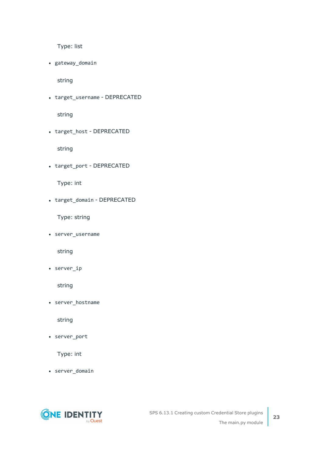Type: list

• gateway\_domain

string

• target\_username - DEPRECATED

string

• target\_host - DEPRECATED

string

• target\_port - DEPRECATED

Type: int

• target\_domain - DEPRECATED

Type: string

• server\_username

string

 $\cdot$  server\_ip

string

• server\_hostname

string

• server\_port

Type: int

• server\_domain

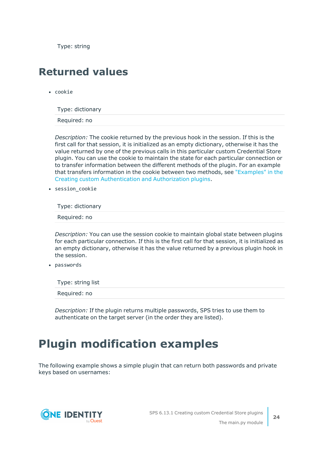Type: string

### <span id="page-23-0"></span>**Returned values**

 $\cdot$  cookie

Type: dictionary

Required: no

*Description:* The cookie returned by the previous hook in the session. If this is the first call for that session, it is initialized as an empty dictionary, otherwise it has the value returned by one of the previous calls in this particular custom Credential Store plugin. You can use the cookie to maintain the state for each particular connection or to transfer information between the different methods of the plugin. For an example that transfers information in the cookie between two methods, see ["Examples"](https://support.oneidentity.com/technical-documents/safeguard-for-privileged-sessions/6.13.1/creating-custom-authentication-and-authorization-plugins/the-main.py-module/examples/) in the Creating custom [Authentication](https://support.oneidentity.com/technical-documents/safeguard-for-privileged-sessions/6.13.1/creating-custom-authentication-and-authorization-plugins/the-main.py-module/examples/) and Authorization plugins.

• session cookie

Type: dictionary

Required: no

*Description:* You can use the session cookie to maintain global state between plugins for each particular connection. If this is the first call for that session, it is initialized as an empty dictionary, otherwise it has the value returned by a previous plugin hook in the session.

• passwords

Type: string list

Required: no

*Description:* If the plugin returns multiple passwords, SPS tries to use them to authenticate on the target server (in the order they are listed).

## <span id="page-23-1"></span>**Plugin modification examples**

The following example shows a simple plugin that can return both passwords and private keys based on usernames:

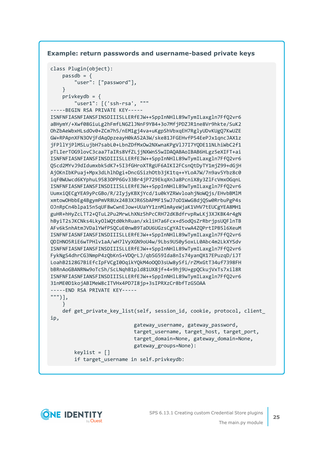#### **Example: return passwords and username-based private keys**

```
class Plugin(object):
    passdb = f"user": ["password"],
    }
    privkeydb = {
        "user1": [('ssh-rsa', """
-----BEGIN RSA PRIVATE KEY-----
ISNFNFIASNFIANSFINSDIIISLLERfEJW++SppInNHlL89wTymILaxgln7FfQ2vr6
aBHymY/+Xwf08GiuLg2hFmfLNGZlJNnF9YB4+3o7MfjPDZJR1ne8Vr9hkte/SuK2
OhZbAeWbxHLsdOv0+ZCm7h5/nEM1gj4va+uKgpShVbxqEH7RglyUDvKUgQ7KwUZE
GW+RPApnXFN3OVjFdAqOpzeayH0kA52A3W/ske81JFGEHvfP54EePJx1qncJAX1z
```

```
jFPllYjPlMSLujbH7sabL0+LbnZDfMxOw2NXwnaKPgVlJ7I7YQDE11NLhiWbC2f1
pTLIerTOG9lovC3caa7TaIRs8VfZLjjNXWnS5wIDAQABAoIBAB6HLgz5eXIFT+ai
ISNFNFIASNFIANSFINSDIIISLLERfEJW++SppInNHlL89wTymILaxgln7FfQ2vr6
QScd2MYvJ9dIdumxbk5dK7+5I3fGHroXTRgUF6AIKI2FCsnQtDyTY1mjZ99+dGjH
AjOKnIbKPuaj+Mpx3dLhlhDgi+DncGSizhOtb3jK1tq++YLoA7W/7n9av5Ybz8c0
iqF0WUwcd6KYphuL9583OPP6Gv33Br4jP729EkqXnJa8PcniX8y3ZlFcVmxOGqnL
ISNFNFIASNFIANSFINSDIIISLLERfEJW++SppInNHlL89wTymILaxgln7FfQ2vr6
UumxiQECgYEA9yPcGBo/R/2IyjyKBXjYcd/1u0kYZRWvloahjNoWQjs/EHvbBMlM
xmtowOHbbEg4BgymPmVR8Ux24B3XJR6SbAPMF15wJ7oD1WwG8djQSw0RrbuPgP4s
OJnRpCn4blpa15n5qUF8wCwnEJow+UUaYY1znMlmAyeWjaK1VHV7tEUCgYEA8MH1
guHR+hHyZcLTT2+QTuL2Pu2MrwLhXNz5hPcCRH72dKBdfrvpRwLKj3XJKBK4r4gN
hByiT2sJKCNks4LkyOlWQtd0khRuan/xkliH7a6Fcx+d5odQsZrRbrjpsUQFlnTB
AFv6kSnhAtmJVDalYWfPSQCuE0nwB9TaDU6UGzsCgYAItvwA4ZQPrtIPB5l6XeuM
ISNFNFIASNFIANSFINSDIIISLLERfEJW++SppInNHlL89wTymILaxgln7FfQ2vr6
QDIHNO5RiE6wTPHlv1aA/wH7lVyXGN9oU4w/9Lbs9US0y5oxLL0Abc4m2LkXYSdv
ISNFNFIASNFIANSFINSDIIISLLERfEJW++SppInNHlL89wTymILaxgln7FfQ2vr6
FykNgS4dhrCG3NmpP4zQbKnS+VDQrLJ/qbSG59Ida8nIs74yanQX17EPuzqD/iJT
LoahB2128G7BiEfcIpFVCgI0OqikYQkM4oOQD3sUw8ySfi/rZMxGtT34uf7398FH
bBRnAoGBANRNw9oTcSh/ScLNqhB1pld81UX8jf+4+9hj9U+gpQCkujVxTs7xil8R
ISNFNFIASNFIANSFINSDIIISLLERfEJW++SppInNHlL89wTymILaxgln7FfQ2vr6
31nME0D1kojABIMeW8cITVHx4PD7I8jp+3sIPRXzCr8bfTzGSOAA
-----END RSA PRIVATE KEY-----
""")],
    }
   def get_private_key_list(self, session_id, cookie, protocol, client_
ip,
                            gateway_username, gateway_password,
```

```
target_username, target_host, target_port,
target_domain=None, gateway_domain=None,
gateway_groups=None):
```

```
keylist = []
```

```
if target_username in self.privkeydb:
```
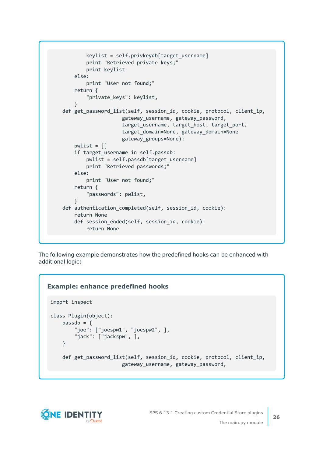```
keylist = self.privkeydb[target_username]
        print "Retrieved private keys;"
        print keylist
    else:
       print "User not found;"
    return {
        "private_keys": keylist,
    }
def get_password_list(self, session id, cookie, protocol, client ip,
                    gateway username, gateway password,
                    target_username, target_host, target_port,
                    target_domain=None, gateway_domain=None
                    gateway_groups=None):
    pwlist = []if target username in self.passdb:
        pwlist = self.passdb[target_username]
        print "Retrieved passwords;"
    else:
        print "User not found;"
    return {
        "passwords": pwlist,
    }
def authentication completed(self, session id, cookie):
    return None
    def session_ended(self, session_id, cookie):
        return None
```
The following example demonstrates how the predefined hooks can be enhanced with additional logic:

### **Example: enhance predefined hooks**

```
import inspect
class Plugin(object):
    passdb = {"joe": ["joespw1", "joespw2", ],
        "jack": ["jackspw", ],
    }
    def get_password_list(self, session_id, cookie, protocol, client_ip,
                        gateway_username, gateway_password,
```
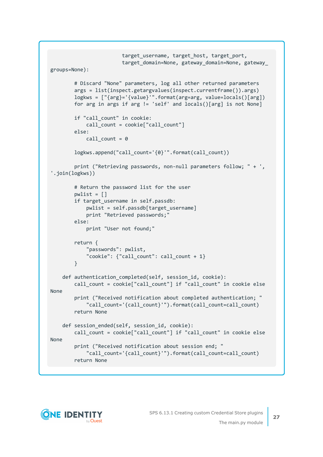```
target_username, target_host, target_port,
                        target domain=None, gateway domain=None, gateway
groups=None):
        # Discard "None" parameters, log all other returned parameters
        args = list(inspect.getargvalues(inspect.currentframe()).args)
        logkws = ["{arg}='{value}'".format(arg=arg, value=locals()[arg])
        for arg in args if arg != 'self' and locals()[arg] is not None]
        if "call_count" in cookie:
            call count = cookie["call count"]
        else:
            call count = 0logkws.append("call_count='{0}'".format(call_count))
        print ("Retrieving passwords, non-null parameters follow; " + ',
'.join(logkws))
        # Return the password list for the user
        pwlist = []if target username in self.passdb:
            pwlist = self.passdb[target_username]
            print "Retrieved passwords;"
        else:
            print "User not found;"
        return {
            "passwords": pwlist,
            "cookie": {"call_count": call_count + 1}
        }
    def authentication_completed(self, session_id, cookie):
        call_count = cookie["call_count"] if "call_count" in cookie else
None
        print ("Received notification about completed authentication; "
            "call_count='{call_count}'").format(call_count=call_count)
        return None
    def session_ended(self, session_id, cookie):
        call_count = cookie["call_count"] if "call_count" in cookie else
None
        print ("Received notification about session end; "
            "call_count='{call_count}'").format(call_count=call_count)
        return None
```
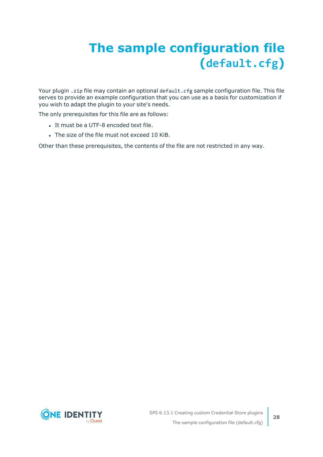# <span id="page-27-0"></span>**The sample configuration file (default.cfg)**

Your plugin . zip file may contain an optional default. cfg sample configuration file. This file serves to provide an example configuration that you can use as a basis for customization if you wish to adapt the plugin to your site's needs.

The only prerequisites for this file are as follows:

- It must be a UTF-8 encoded text file.
- The size of the file must not exceed 10 KiB.

Other than these prerequisites, the contents of the file are not restricted in any way.

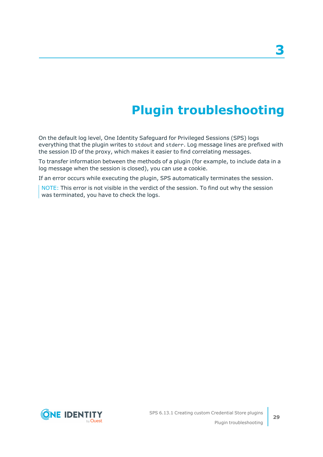# **Plugin troubleshooting**

<span id="page-28-0"></span>On the default log level, One Identity Safeguard for Privileged Sessions (SPS) logs everything that the plugin writes to stdout and stderr. Log message lines are prefixed with the session ID of the proxy, which makes it easier to find correlating messages.

To transfer information between the methods of a plugin (for example, to include data in a log message when the session is closed), you can use a cookie.

If an error occurs while executing the plugin, SPS automatically terminates the session.

NOTE: This error is not visible in the verdict of the session. To find out why the session was terminated, you have to check the logs.

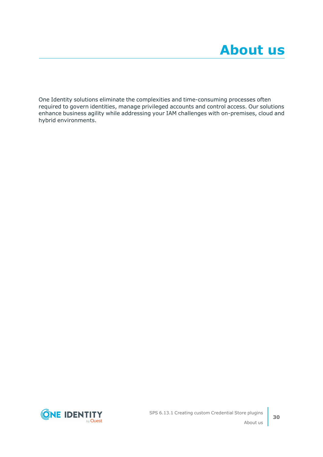<span id="page-29-0"></span>One Identity solutions eliminate the complexities and time-consuming processes often required to govern identities, manage privileged accounts and control access. Our solutions enhance business agility while addressing your IAM challenges with on-premises, cloud and hybrid environments.

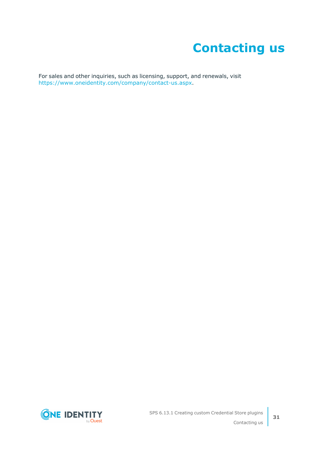# **Contacting us**

<span id="page-30-0"></span>For sales and other inquiries, such as licensing, support, and renewals, visit [https://www.oneidentity.com/company/contact-us.aspx.](https://www.oneidentity.com/company/contact-us.aspx)

**ONE IDENTITY** by **Quest**